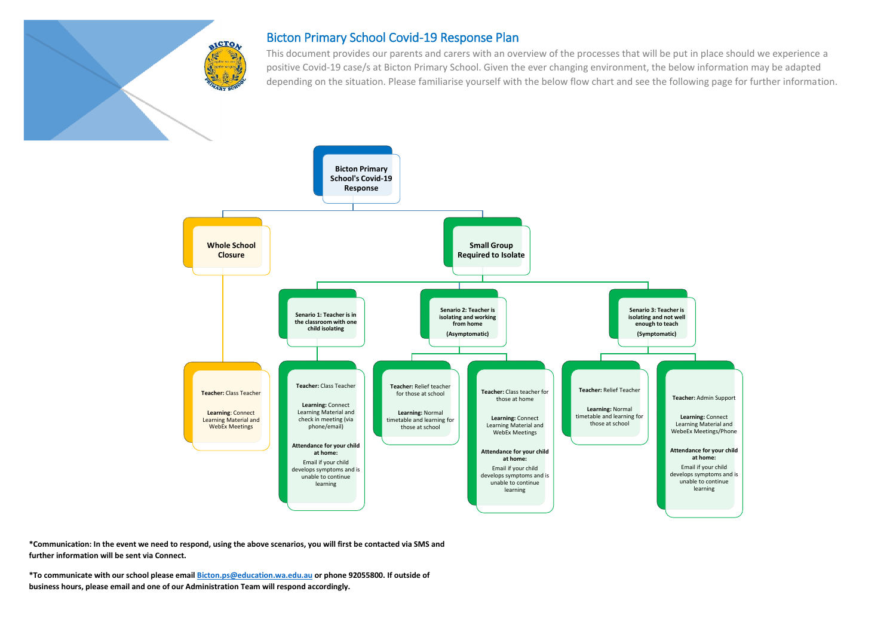

## Bicton Primary School Covid-19 Response Plan

This document provides our parents and carers with an overview of the processes that will be put in place should we experience a positive Covid-19 case/s at Bicton Primary School. Given the ever changing environment, the below information may be adapted depending on the situation. Please familiarise yourself with the below flow chart and see the following page for further information.



**\*Communication: In the event we need to respond, using the above scenarios, you will first be contacted via SMS and further information will be sent via Connect.** 

**\*To communicate with our school please emai[l Bicton.ps@education.wa.edu.au](mailto:Bicton.ps@education.wa.edu.au) or phone 92055800. If outside of business hours, please email and one of our Administration Team will respond accordingly.**